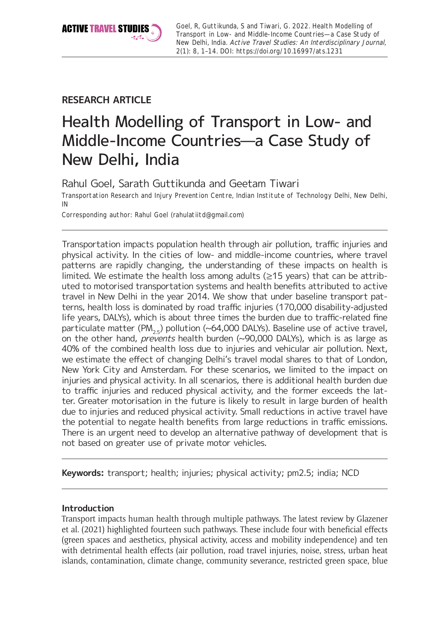

Goel, R, Guttikunda, S and Tiwari, G. 2022. Health Modelling of Transport in Low- and Middle-Income Countries—a Case Study of New Delhi, India. Active Travel Studies: An Interdisciplinary Journal, 2(1): 8, 1–14. DOI:<https://doi.org/10.16997/ats.1231>

## **RESEARCH ARTICLE**

# Health Modelling of Transport in Low- and Middle-Income Countries—a Case Study of New Delhi, India

Rahul Goel, Sarath Guttikunda and Geetam Tiwari

Transportation Research and Injury Prevention Centre, Indian Institute of Technology Delhi, New Delhi, IN

Corresponding author: Rahul Goel [\(rahulatiitd@gmail.com\)](mailto:rahulatiitd@gmail.com)

Transportation impacts population health through air pollution, traffic injuries and physical activity. In the cities of low- and middle-income countries, where travel patterns are rapidly changing, the understanding of these impacts on health is limited. We estimate the health loss among adults (≥15 years) that can be attributed to motorised transportation systems and health benefits attributed to active travel in New Delhi in the year 2014. We show that under baseline transport patterns, health loss is dominated by road traffic injuries (170,000 disability-adjusted life years, DALYs), which is about three times the burden due to traffic-related fine particulate matter (PM<sub>25</sub>) pollution (~64,000 DALYs). Baseline use of active travel, on the other hand, *prevents* health burden  $(\sim]90,000$  DALYs), which is as large as 40% of the combined health loss due to injuries and vehicular air pollution. Next, we estimate the effect of changing Delhi's travel modal shares to that of London, New York City and Amsterdam. For these scenarios, we limited to the impact on injuries and physical activity. In all scenarios, there is additional health burden due to traffic injuries and reduced physical activity, and the former exceeds the latter. Greater motorisation in the future is likely to result in large burden of health due to injuries and reduced physical activity. Small reductions in active travel have the potential to negate health benefits from large reductions in traffic emissions. There is an urgent need to develop an alternative pathway of development that is not based on greater use of private motor vehicles.

**Keywords:** transport; health; injuries; physical activity; pm2.5; india; NCD

## **Introduction**

Transport impacts human health through multiple pathways. The latest review by Glazener et al. (2021) highlighted fourteen such pathways. These include four with beneficial effects (green spaces and aesthetics, physical activity, access and mobility independence) and ten with detrimental health effects (air pollution, road travel injuries, noise, stress, urban heat islands, contamination, climate change, community severance, restricted green space, blue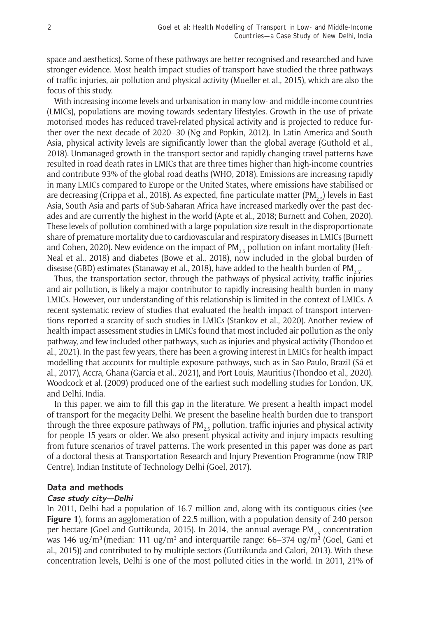space and aesthetics). Some of these pathways are better recognised and researched and have stronger evidence. Most health impact studies of transport have studied the three pathways of traffic injuries, air pollution and physical activity (Mueller et al., 2015), which are also the focus of this study.

With increasing income levels and urbanisation in many low- and middle-income countries (LMICs), populations are moving towards sedentary lifestyles. Growth in the use of private motorised modes has reduced travel-related physical activity and is projected to reduce further over the next decade of 2020–30 (Ng and Popkin, 2012). In Latin America and South Asia, physical activity levels are significantly lower than the global average (Guthold et al., 2018). Unmanaged growth in the transport sector and rapidly changing travel patterns have resulted in road death rates in LMICs that are three times higher than high-income countries and contribute 93% of the global road deaths (WHO, 2018). Emissions are increasing rapidly in many LMICs compared to Europe or the United States, where emissions have stabilised or are decreasing (Crippa et al., 2018). As expected, fine particulate matter (PM<sub>25</sub>) levels in East Asia, South Asia and parts of Sub-Saharan Africa have increased markedly over the past decades and are currently the highest in the world (Apte et al., 2018; Burnett and Cohen, 2020). These levels of pollution combined with a large population size result in the disproportionate share of premature mortality due to cardiovascular and respiratory diseases in LMICs (Burnett and Cohen, 2020). New evidence on the impact of  $PM_{2.5}$  pollution on infant mortality (Heft-Neal et al., 2018) and diabetes (Bowe et al., 2018), now included in the global burden of disease (GBD) estimates (Stanaway et al., 2018), have added to the health burden of PM<sub>2.5</sub>.

Thus, the transportation sector, through the pathways of physical activity, traffic injuries and air pollution, is likely a major contributor to rapidly increasing health burden in many LMICs. However, our understanding of this relationship is limited in the context of LMICs. A recent systematic review of studies that evaluated the health impact of transport interventions reported a scarcity of such studies in LMICs (Stankov et al., 2020). Another review of health impact assessment studies in LMICs found that most included air pollution as the only pathway, and few included other pathways, such as injuries and physical activity (Thondoo et al., 2021). In the past few years, there has been a growing interest in LMICs for health impact modelling that accounts for multiple exposure pathways, such as in Sao Paulo, Brazil (Sá et al., 2017), Accra, Ghana (Garcia et al., 2021), and Port Louis, Mauritius (Thondoo et al., 2020). Woodcock et al. (2009) produced one of the earliest such modelling studies for London, UK, and Delhi, India.

In this paper, we aim to fill this gap in the literature. We present a health impact model of transport for the megacity Delhi. We present the baseline health burden due to transport through the three exposure pathways of PM<sub>25</sub> pollution, traffic injuries and physical activity for people 15 years or older. We also present physical activity and injury impacts resulting from future scenarios of travel patterns. The work presented in this paper was done as part of a doctoral thesis at Transportation Research and Injury Prevention Programme (now TRIP Centre), Indian Institute of Technology Delhi (Goel, 2017).

#### **Data and methods**

## **Case study city—Delhi**

In 2011, Delhi had a population of 16.7 million and, along with its contiguous cities (see **Figure 1**), forms an agglomeration of 22.5 million, with a population density of 240 person per hectare (Goel and Guttikunda, 2015). In 2014, the annual average PM<sub>25</sub> concentration was 146 ug/m<sup>3</sup> (median: 111 ug/m<sup>3</sup> and interquartile range: 66–374 ug/m<sup>3</sup> (Goel, Gani et al., 2015)) and contributed to by multiple sectors (Guttikunda and Calori, 2013). With these concentration levels, Delhi is one of the most polluted cities in the world. In 2011, 21% of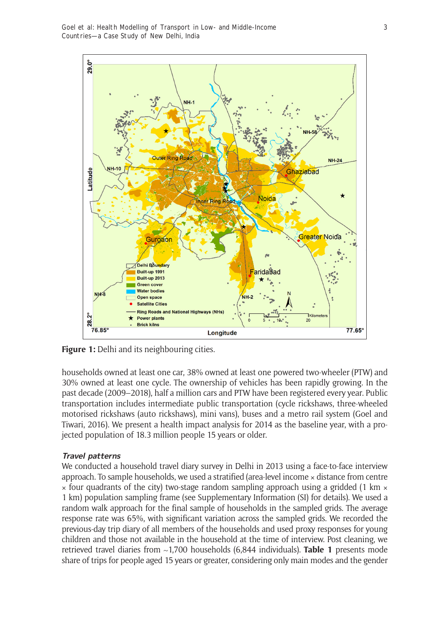Goel et al: Health Modelling of Transport in Low- and Middle-Income Countries—a Case Study of New Delhi, India



**Figure 1:** Delhi and its neighbouring cities.

households owned at least one car, 38% owned at least one powered two-wheeler (PTW) and 30% owned at least one cycle. The ownership of vehicles has been rapidly growing. In the past decade (2009–2018), half a million cars and PTW have been registered every year. Public transportation includes intermediate public transportation (cycle rickshaws, three-wheeled motorised rickshaws (auto rickshaws), mini vans), buses and a metro rail system (Goel and Tiwari, 2016). We present a health impact analysis for 2014 as the baseline year, with a projected population of 18.3 million people 15 years or older.

## **Travel patterns**

We conducted a household travel diary survey in Delhi in 2013 using a face-to-face interview approach. To sample households, we used a stratified (area-level income x distance from centre  $\times$  four quadrants of the city) two-stage random sampling approach using a gridded (1 km  $\times$ 1 km) population sampling frame (see Supplementary Information (SI) for details). We used a random walk approach for the final sample of households in the sampled grids. The average response rate was 65%, with significant variation across the sampled grids. We recorded the previous-day trip diary of all members of the households and used proxy responses for young children and those not available in the household at the time of interview. Post cleaning, we retrieved travel diaries from ~1,700 households (6,844 individuals). **Table 1** presents mode share of trips for people aged 15 years or greater, considering only main modes and the gender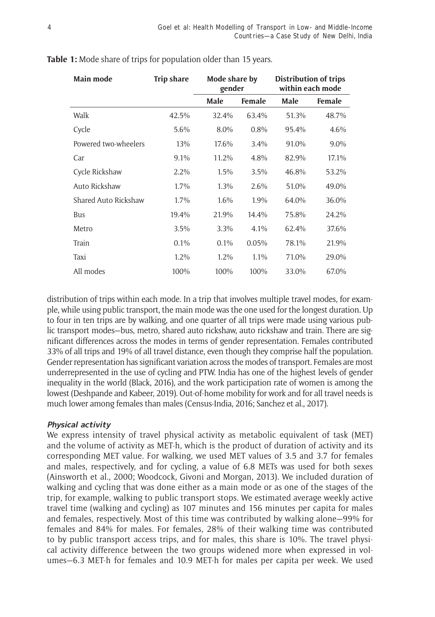| Main mode            | <b>Trip share</b> | Mode share by<br>gender |        | <b>Distribution of trips</b><br>within each mode |         |
|----------------------|-------------------|-------------------------|--------|--------------------------------------------------|---------|
|                      |                   | Male                    | Female | Male                                             | Female  |
| Walk                 | 42.5%             | 32.4%                   | 63.4%  | 51.3%                                            | 48.7%   |
| Cycle                | 5.6%              | 8.0%                    | 0.8%   | 95.4%                                            | 4.6%    |
| Powered two-wheelers | 13%               | 17.6%                   | 3.4%   | 91.0%                                            | $9.0\%$ |
| Car                  | 9.1%              | 11.2%                   | 4.8%   | 82.9%                                            | 17.1%   |
| Cycle Rickshaw       | 2.2%              | 1.5%                    | 3.5%   | 46.8%                                            | 53.2%   |
| Auto Rickshaw        | 1.7%              | $1.3\%$                 | 2.6%   | 51.0%                                            | 49.0%   |
| Shared Auto Rickshaw | 1.7%              | 1.6%                    | 1.9%   | 64.0%                                            | 36.0%   |
| Bus                  | 19.4%             | 21.9%                   | 14.4%  | 75.8%                                            | 24.2%   |
| Metro                | 3.5%              | 3.3%                    | 4.1%   | 62.4%                                            | 37.6%   |
| Train                | 0.1%              | $0.1\%$                 | 0.05%  | 78.1%                                            | 21.9%   |
| Taxi                 | 1.2%              | 1.2%                    | 1.1%   | 71.0%                                            | 29.0%   |
| All modes            | 100%              | 100%                    | 100%   | 33.0%                                            | 67.0%   |

## **Table 1:** Mode share of trips for population older than 15 years.

distribution of trips within each mode. In a trip that involves multiple travel modes, for example, while using public transport, the main mode was the one used for the longest duration. Up to four in ten trips are by walking, and one quarter of all trips were made using various public transport modes—bus, metro, shared auto rickshaw, auto rickshaw and train. There are significant differences across the modes in terms of gender representation. Females contributed 33% of all trips and 19% of all travel distance, even though they comprise half the population. Gender representation has significant variation across the modes of transport. Females are most underrepresented in the use of cycling and PTW. India has one of the highest levels of gender inequality in the world (Black, 2016), and the work participation rate of women is among the lowest (Deshpande and Kabeer, 2019). Out-of-home mobility for work and for all travel needs is much lower among females than males (Census-India, 2016; Sanchez et al., 2017).

## **Physical activity**

We express intensity of travel physical activity as metabolic equivalent of task (MET) and the volume of activity as MET-h, which is the product of duration of activity and its corresponding MET value. For walking, we used MET values of 3.5 and 3.7 for females and males, respectively, and for cycling, a value of 6.8 METs was used for both sexes (Ainsworth et al., 2000; Woodcock, Givoni and Morgan, 2013). We included duration of walking and cycling that was done either as a main mode or as one of the stages of the trip, for example, walking to public transport stops. We estimated average weekly active travel time (walking and cycling) as 107 minutes and 156 minutes per capita for males and females, respectively. Most of this time was contributed by walking alone—99% for females and 84% for males. For females, 28% of their walking time was contributed to by public transport access trips, and for males, this share is 10%. The travel physical activity difference between the two groups widened more when expressed in volumes—6.3 MET-h for females and 10.9 MET-h for males per capita per week. We used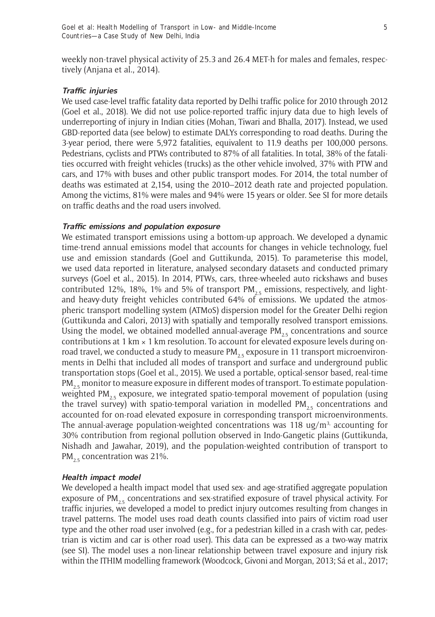weekly non-travel physical activity of 25.3 and 26.4 MET-h for males and females, respectively (Anjana et al., 2014).

#### **Traffic injuries**

We used case-level traffic fatality data reported by Delhi traffic police for 2010 through 2012 (Goel et al., 2018). We did not use police-reported traffic injury data due to high levels of underreporting of injury in Indian cities (Mohan, Tiwari and Bhalla, 2017). Instead, we used GBD-reported data (see below) to estimate DALYs corresponding to road deaths. During the 3-year period, there were 5,972 fatalities, equivalent to 11.9 deaths per 100,000 persons. Pedestrians, cyclists and PTWs contributed to 87% of all fatalities. In total, 38% of the fatalities occurred with freight vehicles (trucks) as the other vehicle involved, 37% with PTW and cars, and 17% with buses and other public transport modes. For 2014, the total number of deaths was estimated at 2,154, using the 2010–2012 death rate and projected population. Among the victims, 81% were males and 94% were 15 years or older. See SI for more details on traffic deaths and the road users involved.

#### **Traffic emissions and population exposure**

We estimated transport emissions using a bottom-up approach. We developed a dynamic time-trend annual emissions model that accounts for changes in vehicle technology, fuel use and emission standards (Goel and Guttikunda, 2015). To parameterise this model, we used data reported in literature, analysed secondary datasets and conducted primary surveys (Goel et al., 2015). In 2014, PTWs, cars, three-wheeled auto rickshaws and buses contributed 12%, 18%, 1% and 5% of transport  $PM_{2.5}$  emissions, respectively, and lightand heavy-duty freight vehicles contributed 64% of emissions. We updated the atmospheric transport modelling system (ATMoS) dispersion model for the Greater Delhi region (Guttikunda and Calori, 2013) with spatially and temporally resolved transport emissions. Using the model, we obtained modelled annual-average  $PM_{2.5}$  concentrations and source contributions at 1 km  $\times$  1 km resolution. To account for elevated exposure levels during onroad travel, we conducted a study to measure  $PM_{25}$  exposure in 11 transport microenvironments in Delhi that included all modes of transport and surface and underground public transportation stops (Goel et al., 2015). We used a portable, optical-sensor based, real-time  $PM_{25}$  monitor to measure exposure in different modes of transport. To estimate populationweighted PM<sub>2.5</sub> exposure, we integrated spatio-temporal movement of population (using the travel survey) with spatio-temporal variation in modelled PM<sub>25</sub> concentrations and accounted for on-road elevated exposure in corresponding transport microenvironments. The annual-average population-weighted concentrations was 118 ug/m<sup>3,</sup> accounting for 30% contribution from regional pollution observed in Indo-Gangetic plains (Guttikunda, Nishadh and Jawahar, 2019), and the population-weighted contribution of transport to PM<sub>2.5</sub> concentration was 21%.

#### **Health impact model**

We developed a health impact model that used sex- and age-stratified aggregate population exposure of PM<sub>25</sub> concentrations and sex-stratified exposure of travel physical activity. For traffic injuries, we developed a model to predict injury outcomes resulting from changes in travel patterns. The model uses road death counts classified into pairs of victim road user type and the other road user involved (e.g., for a pedestrian killed in a crash with car, pedestrian is victim and car is other road user). This data can be expressed as a two-way matrix (see SI). The model uses a non-linear relationship between travel exposure and injury risk within the ITHIM modelling framework (Woodcock, Givoni and Morgan, 2013; Sá et al., 2017;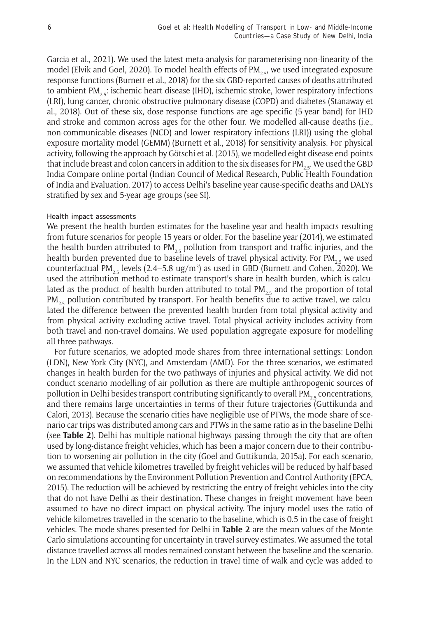Garcia et al., 2021). We used the latest meta-analysis for parameterising non-linearity of the model (Elvik and Goel, 2020). To model health effects of PM<sub>25</sub>, we used integrated-exposure response functions (Burnett et al., 2018) for the six GBD-reported causes of deaths attributed to ambient PM<sub>25</sub>: ischemic heart disease (IHD), ischemic stroke, lower respiratory infections (LRI), lung cancer, chronic obstructive pulmonary disease (COPD) and diabetes (Stanaway et al., 2018). Out of these six, dose-response functions are age specific (5-year band) for IHD and stroke and common across ages for the other four. We modelled all-cause deaths (i.e., non-communicable diseases (NCD) and lower respiratory infections (LRI)) using the global exposure mortality model (GEMM) (Burnett et al., 2018) for sensitivity analysis. For physical activity, following the approach by Götschi et al. (2015), we modelled eight disease end-points that include breast and colon cancers in addition to the six diseases for PM<sub>25</sub>. We used the GBD India Compare online portal (Indian Council of Medical Research, Public Health Foundation of India and Evaluation, 2017) to access Delhi's baseline year cause-specific deaths and DALYs stratified by sex and 5-year age groups (see SI).

#### Health impact assessments

We present the health burden estimates for the baseline year and health impacts resulting from future scenarios for people 15 years or older. For the baseline year (2014), we estimated the health burden attributed to PM<sub>2.5</sub> pollution from transport and traffic injuries, and the health burden prevented due to baseline levels of travel physical activity. For PM<sub>2.5</sub> we used counterfactual PM<sub>2.5</sub> levels (2.4–5.8 ug/m<sup>3</sup>) as used in GBD (Burnett and Cohen, 2020). We used the attribution method to estimate transport's share in health burden, which is calculated as the product of health burden attributed to total  $PM_{2.5}$  and the proportion of total  $PM_{2.5}$  pollution contributed by transport. For health benefits due to active travel, we calculated the difference between the prevented health burden from total physical activity and from physical activity excluding active travel. Total physical activity includes activity from both travel and non-travel domains. We used population aggregate exposure for modelling all three pathways.

For future scenarios, we adopted mode shares from three international settings: London (LDN), New York City (NYC), and Amsterdam (AMD). For the three scenarios, we estimated changes in health burden for the two pathways of injuries and physical activity. We did not conduct scenario modelling of air pollution as there are multiple anthropogenic sources of pollution in Delhi besides transport contributing significantly to overall PM<sub>25</sub> concentrations, and there remains large uncertainties in terms of their future trajectories (Guttikunda and Calori, 2013). Because the scenario cities have negligible use of PTWs, the mode share of scenario car trips was distributed among cars and PTWs in the same ratio as in the baseline Delhi (see **Table 2**). Delhi has multiple national highways passing through the city that are often used by long-distance freight vehicles, which has been a major concern due to their contribution to worsening air pollution in the city (Goel and Guttikunda, 2015a). For each scenario, we assumed that vehicle kilometres travelled by freight vehicles will be reduced by half based on recommendations by the Environment Pollution Prevention and Control Authority (EPCA, 2015). The reduction will be achieved by restricting the entry of freight vehicles into the city that do not have Delhi as their destination. These changes in freight movement have been assumed to have no direct impact on physical activity. The injury model uses the ratio of vehicle kilometres travelled in the scenario to the baseline, which is 0.5 in the case of freight vehicles. The mode shares presented for Delhi in **Table 2** are the mean values of the Monte Carlo simulations accounting for uncertainty in travel survey estimates. We assumed the total distance travelled across all modes remained constant between the baseline and the scenario. In the LDN and NYC scenarios, the reduction in travel time of walk and cycle was added to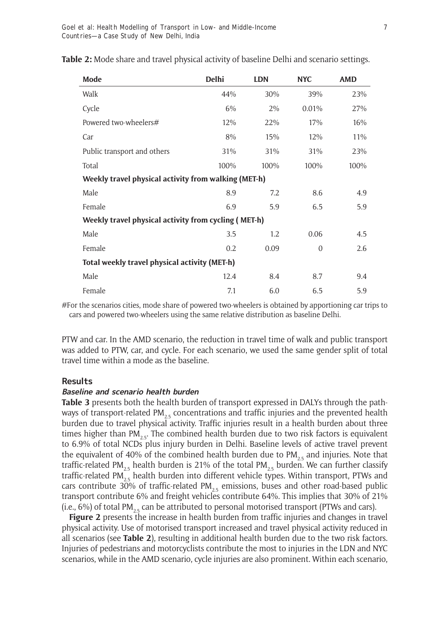| Mode                                                 | <b>Delhi</b> | <b>LDN</b> | <b>NYC</b>     | <b>AMD</b> |  |  |  |
|------------------------------------------------------|--------------|------------|----------------|------------|--|--|--|
| Walk                                                 | 44%          | 30%        | 39%            | 23%        |  |  |  |
| Cycle                                                | 6%           | 2%         | 0.01%          | 27%        |  |  |  |
| Powered two-wheelers#                                | 12%          | 22%        | 17%            | 16%        |  |  |  |
| Car                                                  | 8%           | 15%        | 12%            | 11%        |  |  |  |
| Public transport and others                          | 31%          | 31%        | 31%            | 23%        |  |  |  |
| Total                                                | 100%         | 100%       | 100%           | 100%       |  |  |  |
| Weekly travel physical activity from walking (MET-h) |              |            |                |            |  |  |  |
| Male                                                 | 8.9          | 7.2        | 8.6            | 4.9        |  |  |  |
| Female                                               | 6.9          | 5.9        | 6.5            | 5.9        |  |  |  |
| Weekly travel physical activity from cycling (MET-h) |              |            |                |            |  |  |  |
| Male                                                 | 3.5          | $1.2\,$    | 0.06           | 4.5        |  |  |  |
| Female                                               | 0.2          | 0.09       | $\overline{0}$ | 2.6        |  |  |  |
| Total weekly travel physical activity (MET-h)        |              |            |                |            |  |  |  |
| Male                                                 | 12.4         | 8.4        | 8.7            | 9.4        |  |  |  |
| Female                                               | 7.1          | 6.0        | 6.5            | 5.9        |  |  |  |

**Table 2:** Mode share and travel physical activity of baseline Delhi and scenario settings.

#For the scenarios cities, mode share of powered two-wheelers is obtained by apportioning car trips to cars and powered two-wheelers using the same relative distribution as baseline Delhi.

PTW and car. In the AMD scenario, the reduction in travel time of walk and public transport was added to PTW, car, and cycle. For each scenario, we used the same gender split of total travel time within a mode as the baseline.

## **Results**

#### **Baseline and scenario health burden**

**Table 3** presents both the health burden of transport expressed in DALYs through the pathways of transport-related PM<sub>25</sub> concentrations and traffic injuries and the prevented health burden due to travel physical activity. Traffic injuries result in a health burden about three times higher than  $PM_{2.5}$ . The combined health burden due to two risk factors is equivalent to 6.9% of total NCDs plus injury burden in Delhi. Baseline levels of active travel prevent the equivalent of 40% of the combined health burden due to  $PM_{2.5}$  and injuries. Note that traffic-related PM<sub>25</sub> health burden is 21% of the total PM<sub>25</sub> burden. We can further classify traffic-related PM<sub>25</sub> health burden into different vehicle types. Within transport, PTWs and cars contribute 30% of traffic-related PM<sub>25</sub> emissions, buses and other road-based public transport contribute 6% and freight vehicles contribute 64%. This implies that 30% of 21% (i.e., 6%) of total PM<sub>2.5</sub> can be attributed to personal motorised transport (PTWs and cars).

**Figure 2** presents the increase in health burden from traffic injuries and changes in travel physical activity. Use of motorised transport increased and travel physical activity reduced in all scenarios (see **Table 2**), resulting in additional health burden due to the two risk factors. Injuries of pedestrians and motorcyclists contribute the most to injuries in the LDN and NYC scenarios, while in the AMD scenario, cycle injuries are also prominent. Within each scenario,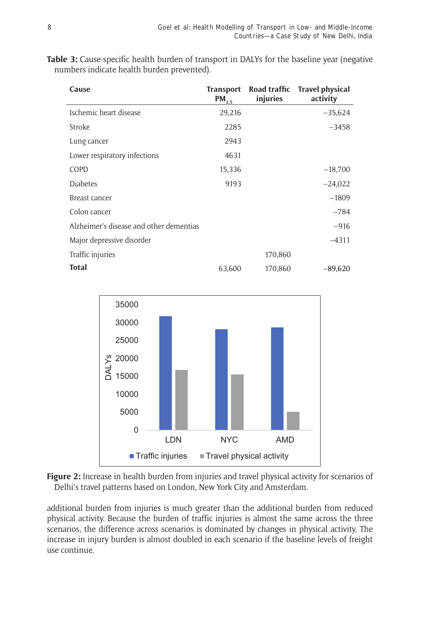| Cause                                   | <b>Transport</b><br>$PM_{2.5}$ | injuries | Road traffic Travel physical<br>activity |
|-----------------------------------------|--------------------------------|----------|------------------------------------------|
| Ischemic heart disease                  | 29,216                         |          | $-35,624$                                |
| Stroke                                  | 2285                           |          | $-3458$                                  |
| Lung cancer                             | 2943                           |          |                                          |
| Lower respiratory infections            | 4631                           |          |                                          |
| COPD                                    | 15,336                         |          | $-18,700$                                |
| <b>Diabetes</b>                         | 9193                           |          | $-24,022$                                |
| Breast cancer                           |                                |          | $-1809$                                  |
| Colon cancer                            |                                |          | $-784$                                   |
| Alzheimer's disease and other dementias |                                |          | $-916$                                   |
| Major depressive disorder               |                                |          | $-4311$                                  |
| Traffic injuries                        |                                | 170,860  |                                          |
| <b>Total</b>                            | 63,600                         | 170,860  | $-89,620$                                |

**Table 3:** Cause-specific health burden of transport in DALYs for the baseline year (negative numbers indicate health burden prevented).



**Figure 2:** Increase in health burden from injuries and travel physical activity for scenarios of Delhi's travel patterns based on London, New York City and Amsterdam.

additional burden from injuries is much greater than the additional burden from reduced physical activity. Because the burden of traffic injuries is almost the same across the three scenarios, the difference across scenarios is dominated by changes in physical activity. The increase in injury burden is almost doubled in each scenario if the baseline levels of freight use continue.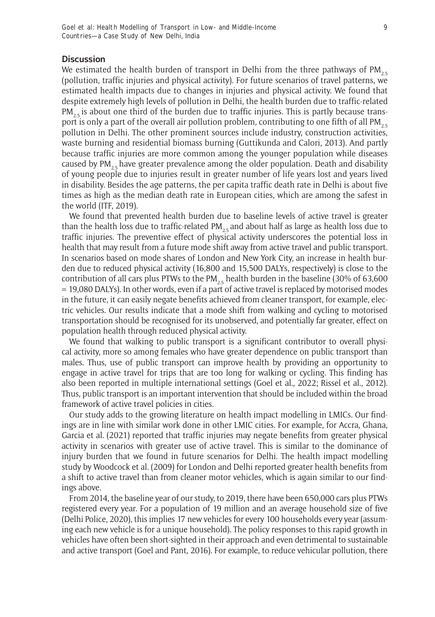#### **Discussion**

We estimated the health burden of transport in Delhi from the three pathways of  $PM_{2.5}$ (pollution, traffic injuries and physical activity). For future scenarios of travel patterns, we estimated health impacts due to changes in injuries and physical activity. We found that despite extremely high levels of pollution in Delhi, the health burden due to traffic-related  $PM_{2.5}$  is about one third of the burden due to traffic injuries. This is partly because transport is only a part of the overall air pollution problem, contributing to one fifth of all  $PM_{25}$ . pollution in Delhi. The other prominent sources include industry, construction activities, waste burning and residential biomass burning (Guttikunda and Calori, 2013). And partly because traffic injuries are more common among the younger population while diseases caused by  $PM_{2.5}$  have greater prevalence among the older population. Death and disability of young people due to injuries result in greater number of life years lost and years lived in disability. Besides the age patterns, the per capita traffic death rate in Delhi is about five times as high as the median death rate in European cities, which are among the safest in the world (ITF, 2019).

We found that prevented health burden due to baseline levels of active travel is greater than the health loss due to traffic-related PM<sub>2.5</sub> and about half as large as health loss due to traffic injuries. The preventive effect of physical activity underscores the potential loss in health that may result from a future mode shift away from active travel and public transport. In scenarios based on mode shares of London and New York City, an increase in health burden due to reduced physical activity (16,800 and 15,500 DALYs, respectively) is close to the contribution of all cars plus PTWs to the PM<sub>2.5</sub> health burden in the baseline (30% of 63,600 = 19,080 DALYs). In other words, even if a part of active travel is replaced by motorised modes in the future, it can easily negate benefits achieved from cleaner transport, for example, electric vehicles. Our results indicate that a mode shift from walking and cycling to motorised transportation should be recognised for its unobserved, and potentially far greater, effect on population health through reduced physical activity.

We found that walking to public transport is a significant contributor to overall physical activity, more so among females who have greater dependence on public transport than males. Thus, use of public transport can improve health by providing an opportunity to engage in active travel for trips that are too long for walking or cycling. This finding has also been reported in multiple international settings (Goel et al., 2022; Rissel et al., 2012). Thus, public transport is an important intervention that should be included within the broad framework of active travel policies in cities.

Our study adds to the growing literature on health impact modelling in LMICs. Our findings are in line with similar work done in other LMIC cities. For example, for Accra, Ghana, Garcia et al. (2021) reported that traffic injuries may negate benefits from greater physical activity in scenarios with greater use of active travel. This is similar to the dominance of injury burden that we found in future scenarios for Delhi. The health impact modelling study by Woodcock et al. (2009) for London and Delhi reported greater health benefits from a shift to active travel than from cleaner motor vehicles, which is again similar to our findings above.

From 2014, the baseline year of our study, to 2019, there have been 650,000 cars plus PTWs registered every year. For a population of 19 million and an average household size of five (Delhi Police, 2020), this implies 17 new vehicles for every 100 households every year (assuming each new vehicle is for a unique household). The policy responses to this rapid growth in vehicles have often been short-sighted in their approach and even detrimental to sustainable and active transport (Goel and Pant, 2016). For example, to reduce vehicular pollution, there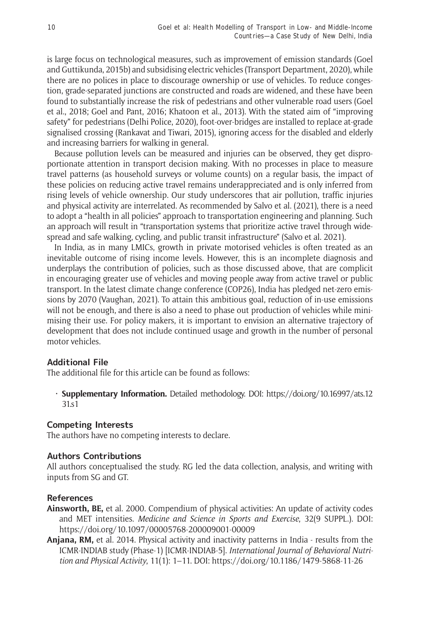is large focus on technological measures, such as improvement of emission standards (Goel and Guttikunda, 2015b) and subsidising electric vehicles (Transport Department, 2020), while there are no polices in place to discourage ownership or use of vehicles. To reduce congestion, grade-separated junctions are constructed and roads are widened, and these have been found to substantially increase the risk of pedestrians and other vulnerable road users (Goel et al., 2018; Goel and Pant, 2016; Khatoon et al., 2013). With the stated aim of "improving safety" for pedestrians (Delhi Police, 2020), foot-over-bridges are installed to replace at-grade signalised crossing (Rankavat and Tiwari, 2015), ignoring access for the disabled and elderly and increasing barriers for walking in general.

Because pollution levels can be measured and injuries can be observed, they get disproportionate attention in transport decision making. With no processes in place to measure travel patterns (as household surveys or volume counts) on a regular basis, the impact of these policies on reducing active travel remains underappreciated and is only inferred from rising levels of vehicle ownership. Our study underscores that air pollution, traffic injuries and physical activity are interrelated. As recommended by Salvo et al. (2021), there is a need to adopt a "health in all policies" approach to transportation engineering and planning. Such an approach will result in "transportation systems that prioritize active travel through widespread and safe walking, cycling, and public transit infrastructure" (Salvo et al. 2021).

In India, as in many LMICs, growth in private motorised vehicles is often treated as an inevitable outcome of rising income levels. However, this is an incomplete diagnosis and underplays the contribution of policies, such as those discussed above, that are complicit in encouraging greater use of vehicles and moving people away from active travel or public transport. In the latest climate change conference (COP26), India has pledged net-zero emissions by 2070 (Vaughan, 2021). To attain this ambitious goal, reduction of in-use emissions will not be enough, and there is also a need to phase out production of vehicles while minimising their use. For policy makers, it is important to envision an alternative trajectory of development that does not include continued usage and growth in the number of personal motor vehicles.

## **Additional File**

The additional file for this article can be found as follows:

• **Supplementary Information.** Detailed methodology. DOI: [https://doi.org/10.16997/ats.12](https://doi.org/10.16997/ats.1231.s1) [31.s1](https://doi.org/10.16997/ats.1231.s1)

## **Competing Interests**

The authors have no competing interests to declare.

## **Authors Contributions**

All authors conceptualised the study. RG led the data collection, analysis, and writing with inputs from SG and GT.

## **References**

- **Ainsworth, BE,** et al. 2000. Compendium of physical activities: An update of activity codes and MET intensities. *Medicine and Science in Sports and Exercise*, 32(9 SUPPL.). DOI: <https://doi.org/10.1097/00005768-200009001-00009>
- **Anjana, RM,** et al. 2014. Physical activity and inactivity patterns in India results from the ICMR-INDIAB study (Phase-1) [ICMR-INDIAB-5]. *International Journal of Behavioral Nutrition and Physical Activity*, 11(1): 1–11. DOI:<https://doi.org/10.1186/1479-5868-11-26>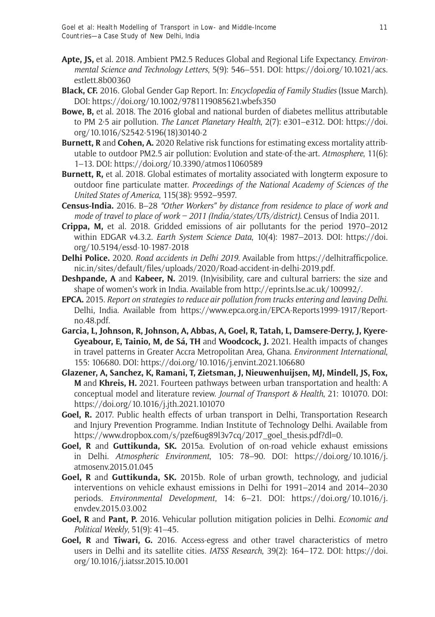- **Apte, JS,** et al. 2018. Ambient PM2.5 Reduces Global and Regional Life Expectancy. *Environmental Science and Technology Letters*, 5(9): 546–551. DOI: [https://doi.org/10.1021/acs.](https://doi.org/10.1021/acs.estlett.8b00360) [estlett.8b00360](https://doi.org/10.1021/acs.estlett.8b00360)
- **Black, CF.** 2016. Global Gender Gap Report. In: *Encyclopedia of Family Studies* (Issue March). DOI: <https://doi.org/10.1002/9781119085621.wbefs350>
- **Bowe, B,** et al. 2018. The 2016 global and national burden of diabetes mellitus attributable to PM 2·5 air pollution. *The Lancet Planetary Health*, 2(7): e301–e312. DOI: [https://doi.](https://doi.org/10.1016/S2542-5196(18)30140-2) [org/10.1016/S2542-5196\(18\)30140-2](https://doi.org/10.1016/S2542-5196(18)30140-2)
- **Burnett, R** and **Cohen, A.** 2020 Relative risk functions for estimating excess mortality attributable to outdoor PM2.5 air pollution: Evolution and state-of-the-art. *Atmosphere*, 11(6): 1–13. DOI: <https://doi.org/10.3390/atmos11060589>
- **Burnett, R,** et al. 2018. Global estimates of mortality associated with longterm exposure to outdoor fine particulate matter. *Proceedings of the National Academy of Sciences of the United States of America*, 115(38): 9592–9597.
- **Census-India.** 2016. B–28 *"Other Workers" by distance from residence to place of work and mode of travel to place of work – 2011 (India/states/UTs/district).* Census of India 2011.
- **Crippa, M,** et al. 2018. Gridded emissions of air pollutants for the period 1970–2012 within EDGAR v4.3.2. *Earth System Science Data*, 10(4): 1987–2013. DOI: [https://doi.](https://doi.org/10.5194/essd-10-1987-2018) [org/10.5194/essd-10-1987-2018](https://doi.org/10.5194/essd-10-1987-2018)
- **Delhi Police.** 2020. *Road accidents in Delhi 2019.* Available from [https://delhitrafficpolice.](https://delhitrafficpolice.nic.in/sites/default/files/uploads/2020/Road-accident-in-delhi-2019.pdf) [nic.in/sites/default/files/uploads/2020/Road-accident-in-delhi-2019.pdf](https://delhitrafficpolice.nic.in/sites/default/files/uploads/2020/Road-accident-in-delhi-2019.pdf).
- **Deshpande, A** and **Kabeer, N.** 2019. (In)visibility, care and cultural barriers: the size and shape of women's work in India. Available from <http://eprints.lse.ac.uk/100992/>.
- **EPCA.** 2015. *Report on strategies to reduce air pollution from trucks entering and leaving Delhi*. Delhi, India. Available from [https://www.epca.org.in/EPCA-Reports1999-1917/Report](https://www.epca.org.in/EPCA-Reports1999-1917/Report-no.48.pdf)[no.48.pdf](https://www.epca.org.in/EPCA-Reports1999-1917/Report-no.48.pdf).
- **Garcia, L, Johnson, R, Johnson, A, Abbas, A, Goel, R, Tatah, L, Damsere-Derry, J, Kyere-Gyeabour, E, Tainio, M, de Sá, TH** and **Woodcock, J.** 2021. Health impacts of changes in travel patterns in Greater Accra Metropolitan Area, Ghana. *Environment International*, 155: 106680. DOI: <https://doi.org/10.1016/j.envint.2021.106680>
- **Glazener, A, Sanchez, K, Ramani, T, Zietsman, J, Nieuwenhuijsen, MJ, Mindell, JS, Fox, M** and **Khreis, H.** 2021. Fourteen pathways between urban transportation and health: A conceptual model and literature review. *Journal of Transport & Health*, 21: 101070. DOI: <https://doi.org/10.1016/j.jth.2021.101070>
- **Goel, R.** 2017. Public health effects of urban transport in Delhi, Transportation Research and Injury Prevention Programme. Indian Institute of Technology Delhi. Available from [https://www.dropbox.com/s/pzef6ug89l3v7cq/2017\\_goel\\_thesis.pdf?dl=0](https://www.dropbox.com/s/pzef6ug89l3v7cq/2017_goel_thesis.pdf?dl=0).
- **Goel, R** and **Guttikunda, SK.** 2015a. Evolution of on-road vehicle exhaust emissions in Delhi. *Atmospheric Environment*, 105: 78–90. DOI: [https://doi.org/10.1016/j.](https://doi.org/10.1016/j.atmosenv.2015.01.045) [atmosenv.2015.01.045](https://doi.org/10.1016/j.atmosenv.2015.01.045)
- **Goel, R** and **Guttikunda, SK.** 2015b. Role of urban growth, technology, and judicial interventions on vehicle exhaust emissions in Delhi for 1991–2014 and 2014–2030 periods. *Environmental Development*, 14: 6–21. DOI: [https://doi.org/10.1016/j.](https://doi.org/10.1016/j.envdev.2015.03.002) [envdev.2015.03.002](https://doi.org/10.1016/j.envdev.2015.03.002)
- **Goel, R** and **Pant, P.** 2016. Vehicular pollution mitigation policies in Delhi. *Economic and Political Weekly*, 51(9): 41–45.
- **Goel, R** and **Tiwari, G.** 2016. Access-egress and other travel characteristics of metro users in Delhi and its satellite cities*. IATSS Research*, 39(2): 164–172. DOI: [https://doi.](https://doi.org/10.1016/j.iatssr.2015.10.001) [org/10.1016/j.iatssr.2015.10.001](https://doi.org/10.1016/j.iatssr.2015.10.001)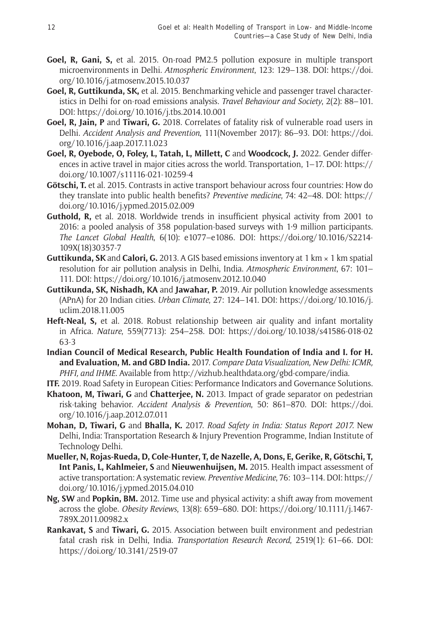- **Goel, R, Gani, S,** et al. 2015. On-road PM2.5 pollution exposure in multiple transport microenvironments in Delhi. *Atmospheric Environment*, 123: 129–138. DOI: [https://doi.](https://doi.org/10.1016/j.atmosenv.2015.10.037) [org/10.1016/j.atmosenv.2015.10.037](https://doi.org/10.1016/j.atmosenv.2015.10.037)
- **Goel, R, Guttikunda, SK,** et al. 2015. Benchmarking vehicle and passenger travel characteristics in Delhi for on-road emissions analysis. *Travel Behaviour and Society*, 2(2): 88–101. DOI: <https://doi.org/10.1016/j.tbs.2014.10.001>
- **Goel, R, Jain, P** and **Tiwari, G.** 2018. Correlates of fatality risk of vulnerable road users in Delhi. *Accident Analysis and Prevention*, 111(November 2017): 86–93. DOI: [https://doi.](https://doi.org/10.1016/j.aap.2017.11.023) [org/10.1016/j.aap.2017.11.023](https://doi.org/10.1016/j.aap.2017.11.023)
- **Goel, R, Oyebode, O, Foley, L, Tatah, L, Millett, C** and **Woodcock, J.** 2022. Gender differences in active travel in major cities across the world. Transportation, 1–17. DOI: [https://](https://doi.org/10.1007/s11116-021-10259-4) [doi.org/10.1007/s11116-021-10259-4](https://doi.org/10.1007/s11116-021-10259-4)
- **Götschi, T.** et al. 2015. Contrasts in active transport behaviour across four countries: How do they translate into public health benefits? *Preventive medicine*, 74: 42–48. DOI: [https://](https://doi.org/10.1016/j.ypmed.2015.02.009) [doi.org/10.1016/j.ypmed.2015.02.009](https://doi.org/10.1016/j.ypmed.2015.02.009)
- **Guthold, R,** et al. 2018. Worldwide trends in insufficient physical activity from 2001 to 2016: a pooled analysis of 358 population-based surveys with 1·9 million participants. *The Lancet Global Health*, 6(10): e1077–e1086. DOI: [https://doi.org/10.1016/S2214-](https://doi.org/10.1016/S2214-109X(18)30357-7) [109X\(18\)30357-7](https://doi.org/10.1016/S2214-109X(18)30357-7)
- **Guttikunda, SK** and **Calori, G.** 2013. A GIS based emissions inventory at 1 km  $\times$  1 km spatial resolution for air pollution analysis in Delhi, India. *Atmospheric Environment*, 67: 101– 111. DOI: <https://doi.org/10.1016/j.atmosenv.2012.10.040>
- **Guttikunda, SK, Nishadh, KA** and **Jawahar, P.** 2019. Air pollution knowledge assessments (APnA) for 20 Indian cities. *Urban Climate*, 27: 124–141. DOI: [https://doi.org/10.1016/j.](https://doi.org/10.1016/j.uclim.2018.11.005) [uclim.2018.11.005](https://doi.org/10.1016/j.uclim.2018.11.005)
- **Heft-Neal, S,** et al. 2018. Robust relationship between air quality and infant mortality in Africa. *Nature*, 559(7713): 254–258. DOI: [https://doi.org/10.1038/s41586-018-02](https://doi.org/10.1038/s41586-018-0263-3) [63-3](https://doi.org/10.1038/s41586-018-0263-3)
- **Indian Council of Medical Research, Public Health Foundation of India and I. for H. and Evaluation, M. and GBD India.** 2017. *Compare Data Visualization, New Delhi: ICMR, PHFI, and IHME*. Available from<http://vizhub.healthdata.org/gbd-compare/india>.
- **ITF.** 2019. Road Safety in European Cities: Performance Indicators and Governance Solutions.
- **Khatoon, M, Tiwari, G** and **Chatterjee, N.** 2013. Impact of grade separator on pedestrian risk-taking behavior. *Accident Analysis & Prevention*, 50: 861–870. DOI: [https://doi.](https://doi.org/10.1016/j.aap.2012.07.011) [org/10.1016/j.aap.2012.07.011](https://doi.org/10.1016/j.aap.2012.07.011)
- **Mohan, D, Tiwari, G** and **Bhalla, K.** 2017. *Road Safety in India: Status Report 2017.* New Delhi, India: Transportation Research & Injury Prevention Programme, Indian Institute of Technology Delhi.
- **Mueller, N, Rojas-Rueda, D, Cole-Hunter, T, de Nazelle, A, Dons, E, Gerike, R, Götschi, T, Int Panis, L, Kahlmeier, S** and **Nieuwenhuijsen, M.** 2015. Health impact assessment of active transportation: A systematic review. *Preventive Medicine*, 76: 103–114. DOI: [https://](https://doi.org/10.1016/j.ypmed.2015.04.010) [doi.org/10.1016/j.ypmed.2015.04.010](https://doi.org/10.1016/j.ypmed.2015.04.010)
- **Ng, SW** and **Popkin, BM.** 2012. Time use and physical activity: a shift away from movement across the globe. *Obesity Reviews*, 13(8): 659–680. DOI: [https://doi.org/10.1111/j.1467-](https://doi.org/10.1111/j.1467-789X.2011.00982.x) [789X.2011.00982.x](https://doi.org/10.1111/j.1467-789X.2011.00982.x)
- **Rankavat, S** and **Tiwari, G.** 2015. Association between built environment and pedestrian fatal crash risk in Delhi, India. *Transportation Research Record*, 2519(1): 61–66. DOI: <https://doi.org/10.3141/2519-07>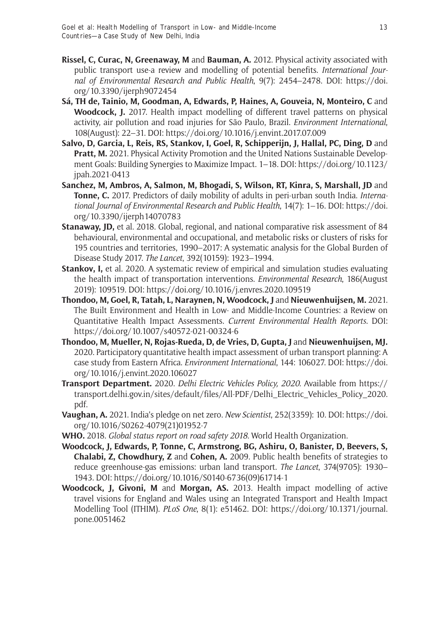- **Rissel, C, Curac, N, Greenaway, M** and **Bauman, A.** 2012. Physical activity associated with public transport use-a review and modelling of potential benefits. *International Journal of Environmental Research and Public Health*, 9(7): 2454–2478. DOI: [https://doi.](https://doi.org/10.3390/ijerph9072454) [org/10.3390/ijerph9072454](https://doi.org/10.3390/ijerph9072454)
- **Sá, TH de, Tainio, M, Goodman, A, Edwards, P, Haines, A, Gouveia, N, Monteiro, C** and **Woodcock, J.** 2017. Health impact modelling of different travel patterns on physical activity, air pollution and road injuries for São Paulo, Brazil. *Environment International*, 108(August): 22–31. DOI:<https://doi.org/10.1016/j.envint.2017.07.009>
- **Salvo, D, Garcia, L, Reis, RS, Stankov, I, Goel, R, Schipperijn, J, Hallal, PC, Ding, D** and **Pratt, M.** 2021. Physical Activity Promotion and the United Nations Sustainable Development Goals: Building Synergies to Maximize Impact. 1–18. DOI: [https://doi.org/10.1123/](https://doi.org/10.1123/jpah.2021-0413) [jpah.2021-0413](https://doi.org/10.1123/jpah.2021-0413)
- **Sanchez, M, Ambros, A, Salmon, M, Bhogadi, S, Wilson, RT, Kinra, S, Marshall, JD** and **Tonne, C.** 2017. Predictors of daily mobility of adults in peri-urban south India. *International Journal of Environmental Research and Public Health*, 14(7): 1–16. DOI: [https://doi.](https://doi.org/10.3390/ijerph14070783) [org/10.3390/ijerph14070783](https://doi.org/10.3390/ijerph14070783)
- **Stanaway, JD,** et al. 2018. Global, regional, and national comparative risk assessment of 84 behavioural, environmental and occupational, and metabolic risks or clusters of risks for 195 countries and territories, 1990–2017: A systematic analysis for the Global Burden of Disease Study 2017. *The Lancet*, 392(10159): 1923–1994.
- **Stankov, I,** et al. 2020. A systematic review of empirical and simulation studies evaluating the health impact of transportation interventions. *Environmental Research*, 186(August 2019): 109519. DOI:<https://doi.org/10.1016/j.envres.2020.109519>
- **Thondoo, M, Goel, R, Tatah, L, Naraynen, N, Woodcock, J** and **Nieuwenhuijsen, M.** 2021. The Built Environment and Health in Low- and Middle-Income Countries: a Review on Quantitative Health Impact Assessments. *Current Environmental Health Reports*. DOI: <https://doi.org/10.1007/s40572-021-00324-6>
- **Thondoo, M, Mueller, N, Rojas-Rueda, D, de Vries, D, Gupta, J** and **Nieuwenhuijsen, MJ.** 2020. Participatory quantitative health impact assessment of urban transport planning: A case study from Eastern Africa. *Environment International*, 144: 106027. DOI: [https://doi.](https://doi.org/10.1016/j.envint.2020.106027) [org/10.1016/j.envint.2020.106027](https://doi.org/10.1016/j.envint.2020.106027)
- **Transport Department.** 2020. *Delhi Electric Vehicles Policy, 2020*. Available from [https://](https://transport.delhi.gov.in/sites/default/files/All-PDF/Delhi_Electric_Vehicles_Policy_2020.pdf) [transport.delhi.gov.in/sites/default/files/All-PDF/Delhi\\_Electric\\_Vehicles\\_Policy\\_2020.](https://transport.delhi.gov.in/sites/default/files/All-PDF/Delhi_Electric_Vehicles_Policy_2020.pdf) [pdf.](https://transport.delhi.gov.in/sites/default/files/All-PDF/Delhi_Electric_Vehicles_Policy_2020.pdf)
- **Vaughan, A.** 2021. India's pledge on net zero. *New Scientist*, 252(3359): 10. DOI: [https://doi.](https://doi.org/10.1016/S0262-4079(21)01952-7) [org/10.1016/S0262-4079\(21\)01952-7](https://doi.org/10.1016/S0262-4079(21)01952-7)
- **WHO.** 2018. *Global status report on road safety 2018.* World Health Organization.
- **Woodcock, J, Edwards, P, Tonne, C, Armstrong, BG, Ashiru, O, Banister, D, Beevers, S, Chalabi, Z, Chowdhury, Z** and **Cohen, A.** 2009. Public health benefits of strategies to reduce greenhouse-gas emissions: urban land transport. *The Lancet*, 374(9705): 1930– 1943. DOI: [https://doi.org/10.1016/S0140-6736\(09\)61714-1](https://doi.org/10.1016/S0140-6736(09)61714-1)
- **Woodcock, J, Givoni, M** and **Morgan, AS.** 2013. Health impact modelling of active travel visions for England and Wales using an Integrated Transport and Health Impact Modelling Tool (ITHIM). *PLoS One*, 8(1): e51462. DOI: [https://doi.org/10.1371/journal.](https://doi.org/10.1371/journal.pone.0051462) [pone.0051462](https://doi.org/10.1371/journal.pone.0051462)